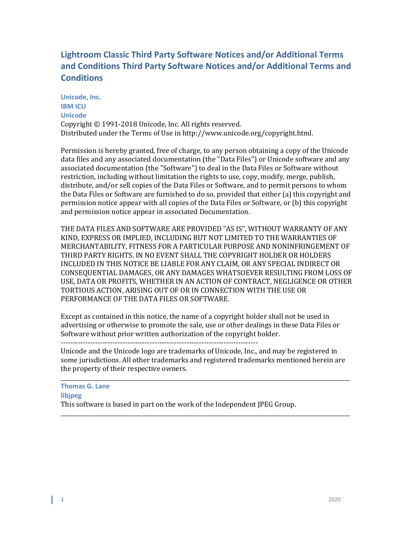# **Lightroom Classic Third Party Software Notices and/or Additional Terms and Conditions Third Party Software Notices and/or Additional Terms and Conditions**

**Unicode, Inc. IBM ICU Unicode** Copyright © 1991-2018 Unicode, Inc. All rights reserved. Distributed under the Terms of Use in http://www.unicode.org/copyright.html.

Permission is hereby granted, free of charge, to any person obtaining a copy of the Unicode data files and any associated documentation (the "Data Files") or Unicode software and any associated documentation (the "Software") to deal in the Data Files or Software without restriction, including without limitation the rights to use, copy, modify, merge, publish, distribute, and/or sell copies of the Data Files or Software, and to permit persons to whom the Data Files or Software are furnished to do so, provided that either (a) this copyright and permission notice appear with all copies of the Data Files or Software, or (b) this copyright and permission notice appear in associated Documentation.

THE DATA FILES AND SOFTWARE ARE PROVIDED "AS IS", WITHOUT WARRANTY OF ANY KIND, EXPRESS OR IMPLIED, INCLUDING BUT NOT LIMITED TO THE WARRANTIES OF MERCHANTABILITY, FITNESS FOR A PARTICULAR PURPOSE AND NONINFRINGEMENT OF THIRD PARTY RIGHTS. IN NO EVENT SHALL THE COPYRIGHT HOLDER OR HOLDERS INCLUDED IN THIS NOTICE BE LIABLE FOR ANY CLAIM, OR ANY SPECIAL INDIRECT OR CONSEQUENTIAL DAMAGES, OR ANY DAMAGES WHATSOEVER RESULTING FROM LOSS OF USE, DATA OR PROFITS, WHETHER IN AN ACTION OF CONTRACT, NEGLIGENCE OR OTHER TORTIOUS ACTION, ARISING OUT OF OR IN CONNECTION WITH THE USE OR PERFORMANCE OF THE DATA FILES OR SOFTWARE.

Except as contained in this notice, the name of a copyright holder shall not be used in advertising or otherwise to promote the sale, use or other dealings in these Data Files or Software without prior written authorization of the copyright holder. --------------------------------------------------------------------------------

Unicode and the Unicode logo are trademarks of Unicode, Inc., and may be registered in some jurisdictions. All other trademarks and registered trademarks mentioned herein are the property of their respective owners.

\_\_\_\_\_\_\_\_\_\_\_\_\_\_\_\_\_\_\_\_\_\_\_\_\_\_\_\_\_\_\_\_\_\_\_\_\_\_\_\_\_\_\_\_\_\_\_\_\_\_\_\_\_\_\_\_\_\_\_\_\_\_\_\_\_\_\_\_\_\_\_\_\_\_\_\_\_\_\_\_\_\_\_\_\_\_\_\_\_\_\_\_\_\_\_\_\_\_\_\_\_\_\_\_\_

\_\_\_\_\_\_\_\_\_\_\_\_\_\_\_\_\_\_\_\_\_\_\_\_\_\_\_\_\_\_\_\_\_\_\_\_\_\_\_\_\_\_\_\_\_\_\_\_\_\_\_\_\_\_\_\_\_\_\_\_\_\_\_\_\_\_\_\_\_\_\_\_\_\_\_\_\_\_\_\_\_\_\_\_\_\_\_\_\_\_\_\_\_\_\_\_\_\_\_\_\_\_\_\_\_ **Thomas G. Lane libjpeg**  This software is based in part on the work of the Independent JPEG Group.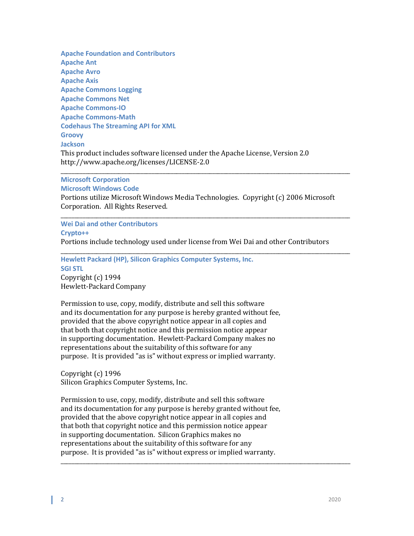**Apache Foundation and Contributors Apache Ant Apache Avro Apache Axis Apache Commons Logging Apache Commons Net Apache Commons-IO Apache Commons-Math Codehaus The Streaming API for XML Groovy Jackson** This product includes software licensed under the Apache License, Version 2.0 http://www.apache.org/licenses/LICENSE-2.0

#### \_\_\_\_\_\_\_\_\_\_\_\_\_\_\_\_\_\_\_\_\_\_\_\_\_\_\_\_\_\_\_\_\_\_\_\_\_\_\_\_\_\_\_\_\_\_\_\_\_\_\_\_\_\_\_\_\_\_\_\_\_\_\_\_\_\_\_\_\_\_\_\_\_\_\_\_\_\_\_\_\_\_\_\_\_\_\_\_\_\_\_\_\_\_\_\_\_\_\_\_\_\_\_\_\_ **Microsoft Corporation**

**Microsoft Windows Code** Portions utilize Microsoft Windows Media Technologies. Copyright (c) 2006 Microsoft Corporation. All Rights Reserved.

# \_\_\_\_\_\_\_\_\_\_\_\_\_\_\_\_\_\_\_\_\_\_\_\_\_\_\_\_\_\_\_\_\_\_\_\_\_\_\_\_\_\_\_\_\_\_\_\_\_\_\_\_\_\_\_\_\_\_\_\_\_\_\_\_\_\_\_\_\_\_\_\_\_\_\_\_\_\_\_\_\_\_\_\_\_\_\_\_\_\_\_\_\_\_\_\_\_\_\_\_\_\_\_\_\_ **Wei Dai and other Contributors Crypto++**  Portions include technology used under license from Wei Dai and other Contributors

\_\_\_\_\_\_\_\_\_\_\_\_\_\_\_\_\_\_\_\_\_\_\_\_\_\_\_\_\_\_\_\_\_\_\_\_\_\_\_\_\_\_\_\_\_\_\_\_\_\_\_\_\_\_\_\_\_\_\_\_\_\_\_\_\_\_\_\_\_\_\_\_\_\_\_\_\_\_\_\_\_\_\_\_\_\_\_\_\_\_\_\_\_\_\_\_\_\_\_\_\_\_\_\_\_ **Hewlett Packard (HP), Silicon Graphics Computer Systems, Inc. SGI STL**  Copyright (c) 1994 Hewlett-Packard Company

Permission to use, copy, modify, distribute and sell this software and its documentation for any purpose is hereby granted without fee, provided that the above copyright notice appear in all copies and that both that copyright notice and this permission notice appear in supporting documentation. Hewlett-Packard Company makes no representations about the suitability of this software for any purpose. It is provided "as is" without express or implied warranty.

Copyright (c) 1996 Silicon Graphics Computer Systems, Inc.

Permission to use, copy, modify, distribute and sell this software and its documentation for any purpose is hereby granted without fee, provided that the above copyright notice appear in all copies and that both that copyright notice and this permission notice appear in supporting documentation. Silicon Graphics makes no representations about the suitability of this software for any purpose. It is provided "as is" without express or implied warranty.

\_\_\_\_\_\_\_\_\_\_\_\_\_\_\_\_\_\_\_\_\_\_\_\_\_\_\_\_\_\_\_\_\_\_\_\_\_\_\_\_\_\_\_\_\_\_\_\_\_\_\_\_\_\_\_\_\_\_\_\_\_\_\_\_\_\_\_\_\_\_\_\_\_\_\_\_\_\_\_\_\_\_\_\_\_\_\_\_\_\_\_\_\_\_\_\_\_\_\_\_\_\_\_\_\_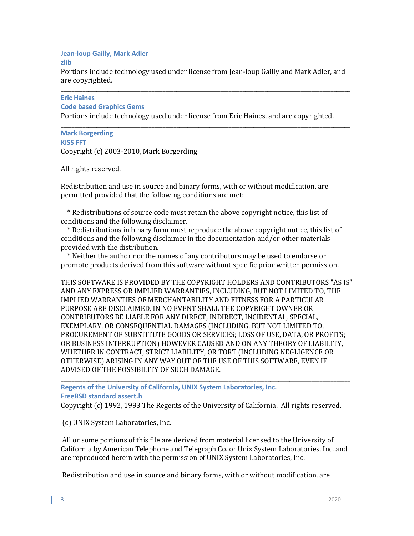# **Jean-loup Gailly, Mark Adler**

# **zlib**

Portions include technology used under license from Jean-loup Gailly and Mark Adler, and are copyrighted.

#### \_\_\_\_\_\_\_\_\_\_\_\_\_\_\_\_\_\_\_\_\_\_\_\_\_\_\_\_\_\_\_\_\_\_\_\_\_\_\_\_\_\_\_\_\_\_\_\_\_\_\_\_\_\_\_\_\_\_\_\_\_\_\_\_\_\_\_\_\_\_\_\_\_\_\_\_\_\_\_\_\_\_\_\_\_\_\_\_\_\_\_\_\_\_\_\_\_\_\_\_\_\_\_\_\_ **Eric Haines**

# **Code based Graphics Gems**

Portions include technology used under license from Eric Haines, and are copyrighted.

\_\_\_\_\_\_\_\_\_\_\_\_\_\_\_\_\_\_\_\_\_\_\_\_\_\_\_\_\_\_\_\_\_\_\_\_\_\_\_\_\_\_\_\_\_\_\_\_\_\_\_\_\_\_\_\_\_\_\_\_\_\_\_\_\_\_\_\_\_\_\_\_\_\_\_\_\_\_\_\_\_\_\_\_\_\_\_\_\_\_\_\_\_\_\_\_\_\_\_\_\_\_\_\_\_ **Mark Borgerding KISS FFT**  Copyright (c) 2003-2010, Mark Borgerding

# All rights reserved.

Redistribution and use in source and binary forms, with or without modification, are permitted provided that the following conditions are met:

 \* Redistributions of source code must retain the above copyright notice, this list of conditions and the following disclaimer.

 \* Redistributions in binary form must reproduce the above copyright notice, this list of conditions and the following disclaimer in the documentation and/or other materials provided with the distribution.

 \* Neither the author nor the names of any contributors may be used to endorse or promote products derived from this software without specific prior written permission.

THIS SOFTWARE IS PROVIDED BY THE COPYRIGHT HOLDERS AND CONTRIBUTORS "AS IS" AND ANY EXPRESS OR IMPLIED WARRANTIES, INCLUDING, BUT NOT LIMITED TO, THE IMPLIED WARRANTIES OF MERCHANTABILITY AND FITNESS FOR A PARTICULAR PURPOSE ARE DISCLAIMED. IN NO EVENT SHALL THE COPYRIGHT OWNER OR CONTRIBUTORS BE LIABLE FOR ANY DIRECT, INDIRECT, INCIDENTAL, SPECIAL, EXEMPLARY, OR CONSEQUENTIAL DAMAGES (INCLUDING, BUT NOT LIMITED TO, PROCUREMENT OF SUBSTITUTE GOODS OR SERVICES; LOSS OF USE, DATA, OR PROFITS; OR BUSINESS INTERRUPTION) HOWEVER CAUSED AND ON ANY THEORY OF LIABILITY, WHETHER IN CONTRACT, STRICT LIABILITY, OR TORT (INCLUDING NEGLIGENCE OR OTHERWISE) ARISING IN ANY WAY OUT OF THE USE OF THIS SOFTWARE, EVEN IF ADVISED OF THE POSSIBILITY OF SUCH DAMAGE.

\_\_\_\_\_\_\_\_\_\_\_\_\_\_\_\_\_\_\_\_\_\_\_\_\_\_\_\_\_\_\_\_\_\_\_\_\_\_\_\_\_\_\_\_\_\_\_\_\_\_\_\_\_\_\_\_\_\_\_\_\_\_\_\_\_\_\_\_\_\_\_\_\_\_\_\_\_\_\_\_\_\_\_\_\_\_\_\_\_\_\_\_\_\_\_\_\_\_\_\_\_\_\_\_\_ **Regents of the University of California, UNIX System Laboratories, Inc. FreeBSD standard assert.h** 

Copyright (c) 1992, 1993 The Regents of the University of California. All rights reserved.

(c) UNIX System Laboratories, Inc.

All or some portions of this file are derived from material licensed to the University of California by American Telephone and Telegraph Co. or Unix System Laboratories, Inc. and are reproduced herein with the permission of UNIX System Laboratories, Inc.

Redistribution and use in source and binary forms, with or without modification, are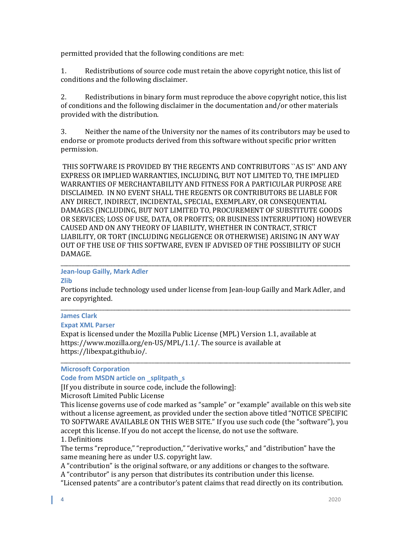permitted provided that the following conditions are met:

1. Redistributions of source code must retain the above copyright notice, this list of conditions and the following disclaimer.

2. Redistributions in binary form must reproduce the above copyright notice, this list of conditions and the following disclaimer in the documentation and/or other materials provided with the distribution.

3. Neither the name of the University nor the names of its contributors may be used to endorse or promote products derived from this software without specific prior written permission.

THIS SOFTWARE IS PROVIDED BY THE REGENTS AND CONTRIBUTORS ``AS IS'' AND ANY EXPRESS OR IMPLIED WARRANTIES, INCLUDING, BUT NOT LIMITED TO, THE IMPLIED WARRANTIES OF MERCHANTABILITY AND FITNESS FOR A PARTICULAR PURPOSE ARE DISCLAIMED. IN NO EVENT SHALL THE REGENTS OR CONTRIBUTORS BE LIABLE FOR ANY DIRECT, INDIRECT, INCIDENTAL, SPECIAL, EXEMPLARY, OR CONSEQUENTIAL DAMAGES (INCLUDING, BUT NOT LIMITED TO, PROCUREMENT OF SUBSTITUTE GOODS OR SERVICES; LOSS OF USE, DATA, OR PROFITS; OR BUSINESS INTERRUPTION) HOWEVER CAUSED AND ON ANY THEORY OF LIABILITY, WHETHER IN CONTRACT, STRICT LIABILITY, OR TORT (INCLUDING NEGLIGENCE OR OTHERWISE) ARISING IN ANY WAY OUT OF THE USE OF THIS SOFTWARE, EVEN IF ADVISED OF THE POSSIBILITY OF SUCH DAMAGE.

#### \_\_\_\_\_\_\_\_\_\_\_\_\_\_\_\_\_\_\_\_\_\_\_\_\_\_\_\_\_\_\_\_\_\_\_\_\_\_\_\_\_\_\_\_\_\_\_\_\_\_\_\_\_\_\_\_\_\_\_\_\_\_\_\_\_\_\_\_\_\_\_\_\_\_\_\_\_\_\_\_\_\_\_\_\_\_\_\_\_\_\_\_\_\_\_\_\_\_\_\_\_\_\_\_\_ **Jean-loup Gailly, Mark Adler**

**Zlib**

Portions include technology used under license from Jean-loup Gailly and Mark Adler, and are copyrighted.

#### \_\_\_\_\_\_\_\_\_\_\_\_\_\_\_\_\_\_\_\_\_\_\_\_\_\_\_\_\_\_\_\_\_\_\_\_\_\_\_\_\_\_\_\_\_\_\_\_\_\_\_\_\_\_\_\_\_\_\_\_\_\_\_\_\_\_\_\_\_\_\_\_\_\_\_\_\_\_\_\_\_\_\_\_\_\_\_\_\_\_\_\_\_\_\_\_\_\_\_\_\_\_\_\_\_ **James Clark**

**Expat XML Parser** 

Expat is licensed under the Mozilla Public License (MPL) Version 1.1, available at https://www.mozilla.org/en-US/MPL/1.1/. The source is available at https://libexpat.github.io/.

#### \_\_\_\_\_\_\_\_\_\_\_\_\_\_\_\_\_\_\_\_\_\_\_\_\_\_\_\_\_\_\_\_\_\_\_\_\_\_\_\_\_\_\_\_\_\_\_\_\_\_\_\_\_\_\_\_\_\_\_\_\_\_\_\_\_\_\_\_\_\_\_\_\_\_\_\_\_\_\_\_\_\_\_\_\_\_\_\_\_\_\_\_\_\_\_\_\_\_\_\_\_\_\_\_\_ **Microsoft Corporation**

**Code from MSDN article on \_splitpath\_s** 

[If you distribute in source code, include the following]:

Microsoft Limited Public License

This license governs use of code marked as "sample" or "example" available on this web site without a license agreement, as provided under the section above titled "NOTICE SPECIFIC TO SOFTWARE AVAILABLE ON THIS WEB SITE." If you use such code (the "software"), you accept this license. If you do not accept the license, do not use the software.

1. Definitions

The terms "reproduce," "reproduction," "derivative works," and "distribution" have the same meaning here as under U.S. copyright law.

A "contribution" is the original software, or any additions or changes to the software. A "contributor" is any person that distributes its contribution under this license.

"Licensed patents" are a contributor's patent claims that read directly on its contribution.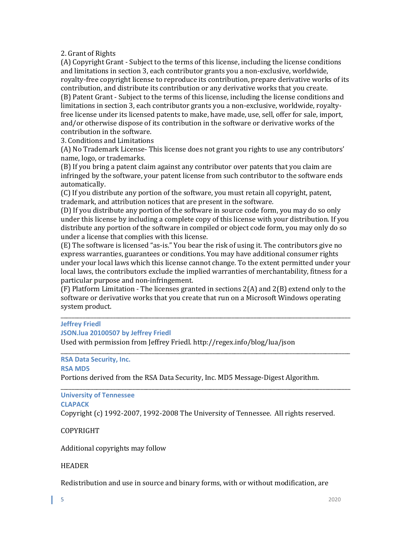2. Grant of Rights

(A) Copyright Grant - Subject to the terms of this license, including the license conditions and limitations in section 3, each contributor grants you a non-exclusive, worldwide, royalty-free copyright license to reproduce its contribution, prepare derivative works of its contribution, and distribute its contribution or any derivative works that you create. (B) Patent Grant - Subject to the terms of this license, including the license conditions and limitations in section 3, each contributor grants you a non-exclusive, worldwide, royaltyfree license under its licensed patents to make, have made, use, sell, offer for sale, import, and/or otherwise dispose of its contribution in the software or derivative works of the contribution in the software.

3. Conditions and Limitations

(A) No Trademark License- This license does not grant you rights to use any contributors' name, logo, or trademarks.

(B) If you bring a patent claim against any contributor over patents that you claim are infringed by the software, your patent license from such contributor to the software ends automatically.

(C) If you distribute any portion of the software, you must retain all copyright, patent, trademark, and attribution notices that are present in the software.

(D) If you distribute any portion of the software in source code form, you may do so only under this license by including a complete copy of this license with your distribution. If you distribute any portion of the software in compiled or object code form, you may only do so under a license that complies with this license.

(E) The software is licensed "as-is." You bear the risk of using it. The contributors give no express warranties, guarantees or conditions. You may have additional consumer rights under your local laws which this license cannot change. To the extent permitted under your local laws, the contributors exclude the implied warranties of merchantability, fitness for a particular purpose and non-infringement.

(F) Platform Limitation - The licenses granted in sections 2(A) and 2(B) extend only to the software or derivative works that you create that run on a Microsoft Windows operating system product.

#### \_\_\_\_\_\_\_\_\_\_\_\_\_\_\_\_\_\_\_\_\_\_\_\_\_\_\_\_\_\_\_\_\_\_\_\_\_\_\_\_\_\_\_\_\_\_\_\_\_\_\_\_\_\_\_\_\_\_\_\_\_\_\_\_\_\_\_\_\_\_\_\_\_\_\_\_\_\_\_\_\_\_\_\_\_\_\_\_\_\_\_\_\_\_\_\_\_\_\_\_\_\_\_\_\_ **Jeffrey Friedl**

# **JSON.lua 20100507 by Jeffrey Friedl**

Used with permission from Jeffrey Friedl. http://regex.info/blog/lua/json

#### \_\_\_\_\_\_\_\_\_\_\_\_\_\_\_\_\_\_\_\_\_\_\_\_\_\_\_\_\_\_\_\_\_\_\_\_\_\_\_\_\_\_\_\_\_\_\_\_\_\_\_\_\_\_\_\_\_\_\_\_\_\_\_\_\_\_\_\_\_\_\_\_\_\_\_\_\_\_\_\_\_\_\_\_\_\_\_\_\_\_\_\_\_\_\_\_\_\_\_\_\_\_\_\_\_ **RSA Data Security, Inc.**

# **RSA MD5**

Portions derived from the RSA Data Security, Inc. MD5 Message-Digest Algorithm.

#### \_\_\_\_\_\_\_\_\_\_\_\_\_\_\_\_\_\_\_\_\_\_\_\_\_\_\_\_\_\_\_\_\_\_\_\_\_\_\_\_\_\_\_\_\_\_\_\_\_\_\_\_\_\_\_\_\_\_\_\_\_\_\_\_\_\_\_\_\_\_\_\_\_\_\_\_\_\_\_\_\_\_\_\_\_\_\_\_\_\_\_\_\_\_\_\_\_\_\_\_\_\_\_\_\_ **University of Tennessee**

### **CLAPACK**

Copyright (c) 1992-2007, 1992-2008 The University of Tennessee. All rights reserved.

# COPYRIGHT

Additional copyrights may follow

# HEADER

Redistribution and use in source and binary forms, with or without modification, are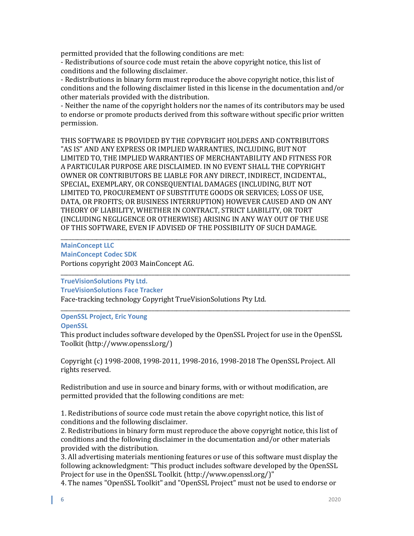permitted provided that the following conditions are met:

- Redistributions of source code must retain the above copyright notice, this list of conditions and the following disclaimer.

- Redistributions in binary form must reproduce the above copyright notice, this list of conditions and the following disclaimer listed in this license in the documentation and/or other materials provided with the distribution.

- Neither the name of the copyright holders nor the names of its contributors may be used to endorse or promote products derived from this software without specific prior written permission.

THIS SOFTWARE IS PROVIDED BY THE COPYRIGHT HOLDERS AND CONTRIBUTORS "AS IS" AND ANY EXPRESS OR IMPLIED WARRANTIES, INCLUDING, BUT NOT LIMITED TO, THE IMPLIED WARRANTIES OF MERCHANTABILITY AND FITNESS FOR A PARTICULAR PURPOSE ARE DISCLAIMED. IN NO EVENT SHALL THE COPYRIGHT OWNER OR CONTRIBUTORS BE LIABLE FOR ANY DIRECT, INDIRECT, INCIDENTAL, SPECIAL, EXEMPLARY, OR CONSEQUENTIAL DAMAGES (INCLUDING, BUT NOT LIMITED TO, PROCUREMENT OF SUBSTITUTE GOODS OR SERVICES; LOSS OF USE, DATA, OR PROFITS; OR BUSINESS INTERRUPTION) HOWEVER CAUSED AND ON ANY THEORY OF LIABILITY, WHETHER IN CONTRACT, STRICT LIABILITY, OR TORT (INCLUDING NEGLIGENCE OR OTHERWISE) ARISING IN ANY WAY OUT OF THE USE OF THIS SOFTWARE, EVEN IF ADVISED OF THE POSSIBILITY OF SUCH DAMAGE.

\_\_\_\_\_\_\_\_\_\_\_\_\_\_\_\_\_\_\_\_\_\_\_\_\_\_\_\_\_\_\_\_\_\_\_\_\_\_\_\_\_\_\_\_\_\_\_\_\_\_\_\_\_\_\_\_\_\_\_\_\_\_\_\_\_\_\_\_\_\_\_\_\_\_\_\_\_\_\_\_\_\_\_\_\_\_\_\_\_\_\_\_\_\_\_\_\_\_\_\_\_\_\_\_\_

**MainConcept LLC MainConcept Codec SDK** Portions copyright 2003 MainConcept AG.

\_\_\_\_\_\_\_\_\_\_\_\_\_\_\_\_\_\_\_\_\_\_\_\_\_\_\_\_\_\_\_\_\_\_\_\_\_\_\_\_\_\_\_\_\_\_\_\_\_\_\_\_\_\_\_\_\_\_\_\_\_\_\_\_\_\_\_\_\_\_\_\_\_\_\_\_\_\_\_\_\_\_\_\_\_\_\_\_\_\_\_\_\_\_\_\_\_\_\_\_\_\_\_\_\_ **TrueVisionSolutions Pty Ltd.**

**TrueVisionSolutions Face Tracker**

Face-tracking technology Copyright TrueVisionSolutions Pty Ltd.

### \_\_\_\_\_\_\_\_\_\_\_\_\_\_\_\_\_\_\_\_\_\_\_\_\_\_\_\_\_\_\_\_\_\_\_\_\_\_\_\_\_\_\_\_\_\_\_\_\_\_\_\_\_\_\_\_\_\_\_\_\_\_\_\_\_\_\_\_\_\_\_\_\_\_\_\_\_\_\_\_\_\_\_\_\_\_\_\_\_\_\_\_\_\_\_\_\_\_\_\_\_\_\_\_\_ **OpenSSL Project, Eric Young**

# **OpenSSL**

This product includes software developed by the OpenSSL Project for use in the OpenSSL Toolkit (http://www.openssl.org/)

Copyright (c) 1998-2008, 1998-2011, 1998-2016, 1998-2018 The OpenSSL Project. All rights reserved.

Redistribution and use in source and binary forms, with or without modification, are permitted provided that the following conditions are met:

1. Redistributions of source code must retain the above copyright notice, this list of conditions and the following disclaimer.

2. Redistributions in binary form must reproduce the above copyright notice, this list of conditions and the following disclaimer in the documentation and/or other materials provided with the distribution.

3. All advertising materials mentioning features or use of this software must display the following acknowledgment: "This product includes software developed by the OpenSSL Project for use in the OpenSSL Toolkit. (http://www.openssl.org/)"

4. The names "OpenSSL Toolkit" and "OpenSSL Project" must not be used to endorse or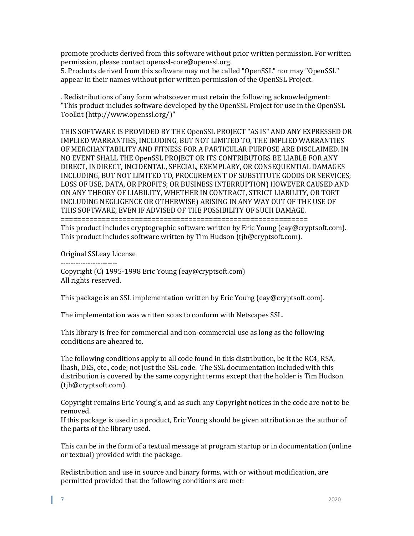promote products derived from this software without prior written permission. For written permission, please contact openssl-core@openssl.org.

5. Products derived from this software may not be called "OpenSSL" nor may "OpenSSL" appear in their names without prior written permission of the OpenSSL Project.

. Redistributions of any form whatsoever must retain the following acknowledgment: "This product includes software developed by the OpenSSL Project for use in the OpenSSL Toolkit (http://www.openssl.org/)"

THIS SOFTWARE IS PROVIDED BY THE OpenSSL PROJECT "AS IS" AND ANY EXPRESSED OR IMPLIED WARRANTIES, INCLUDING, BUT NOT LIMITED TO, THE IMPLIED WARRANTIES OF MERCHANTABILITY AND FITNESS FOR A PARTICULAR PURPOSE ARE DISCLAIMED. IN NO EVENT SHALL THE OpenSSL PROJECT OR ITS CONTRIBUTORS BE LIABLE FOR ANY DIRECT, INDIRECT, INCIDENTAL, SPECIAL, EXEMPLARY, OR CONSEQUENTIAL DAMAGES INCLUDING, BUT NOT LIMITED TO, PROCUREMENT OF SUBSTITUTE GOODS OR SERVICES; LOSS OF USE, DATA, OR PROFITS; OR BUSINESS INTERRUPTION) HOWEVER CAUSED AND ON ANY THEORY OF LIABILITY, WHETHER IN CONTRACT, STRICT LIABILITY, OR TORT INCLUDING NEGLIGENCE OR OTHERWISE) ARISING IN ANY WAY OUT OF THE USE OF THIS SOFTWARE, EVEN IF ADVISED OF THE POSSIBILITY OF SUCH DAMAGE. ============================================================

This product includes cryptographic software written by Eric Young (eay@cryptsoft.com). This product includes software written by Tim Hudson (tjh@cryptsoft.com).

Original SSLeay License

-----------------------

Copyright (C) 1995-1998 Eric Young (eay@cryptsoft.com) All rights reserved.

This package is an SSL implementation written by Eric Young (eay@cryptsoft.com).

The implementation was written so as to conform with Netscapes SSL.

This library is free for commercial and non-commercial use as long as the following conditions are aheared to.

The following conditions apply to all code found in this distribution, be it the RC4, RSA, lhash, DES, etc., code; not just the SSL code. The SSL documentation included with this distribution is covered by the same copyright terms except that the holder is Tim Hudson (tjh@cryptsoft.com).

Copyright remains Eric Young's, and as such any Copyright notices in the code are not to be removed.

If this package is used in a product, Eric Young should be given attribution as the author of the parts of the library used.

This can be in the form of a textual message at program startup or in documentation (online or textual) provided with the package.

Redistribution and use in source and binary forms, with or without modification, are permitted provided that the following conditions are met: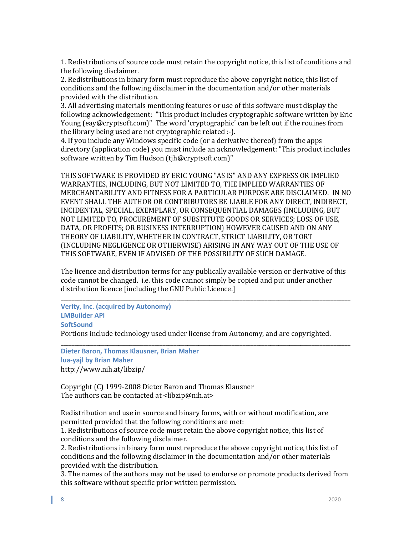1. Redistributions of source code must retain the copyright notice, this list of conditions and the following disclaimer.

2. Redistributions in binary form must reproduce the above copyright notice, this list of conditions and the following disclaimer in the documentation and/or other materials provided with the distribution.

3. All advertising materials mentioning features or use of this software must display the following acknowledgement: "This product includes cryptographic software written by Eric Young (eay@cryptsoft.com)" The word 'cryptographic' can be left out if the rouines from the library being used are not cryptographic related :-).

4. If you include any Windows specific code (or a derivative thereof) from the apps directory (application code) you must include an acknowledgement: "This product includes software written by Tim Hudson (tjh@cryptsoft.com)"

THIS SOFTWARE IS PROVIDED BY ERIC YOUNG "AS IS" AND ANY EXPRESS OR IMPLIED WARRANTIES, INCLUDING, BUT NOT LIMITED TO, THE IMPLIED WARRANTIES OF MERCHANTABILITY AND FITNESS FOR A PARTICULAR PURPOSE ARE DISCLAIMED. IN NO EVENT SHALL THE AUTHOR OR CONTRIBUTORS BE LIABLE FOR ANY DIRECT, INDIRECT, INCIDENTAL, SPECIAL, EXEMPLARY, OR CONSEQUENTIAL DAMAGES (INCLUDING, BUT NOT LIMITED TO, PROCUREMENT OF SUBSTITUTE GOODS OR SERVICES; LOSS OF USE, DATA, OR PROFITS; OR BUSINESS INTERRUPTION) HOWEVER CAUSED AND ON ANY THEORY OF LIABILITY, WHETHER IN CONTRACT, STRICT LIABILITY, OR TORT (INCLUDING NEGLIGENCE OR OTHERWISE) ARISING IN ANY WAY OUT OF THE USE OF THIS SOFTWARE, EVEN IF ADVISED OF THE POSSIBILITY OF SUCH DAMAGE.

The licence and distribution terms for any publically available version or derivative of this code cannot be changed. i.e. this code cannot simply be copied and put under another distribution licence [including the GNU Public Licence.]

\_\_\_\_\_\_\_\_\_\_\_\_\_\_\_\_\_\_\_\_\_\_\_\_\_\_\_\_\_\_\_\_\_\_\_\_\_\_\_\_\_\_\_\_\_\_\_\_\_\_\_\_\_\_\_\_\_\_\_\_\_\_\_\_\_\_\_\_\_\_\_\_\_\_\_\_\_\_\_\_\_\_\_\_\_\_\_\_\_\_\_\_\_\_\_\_\_\_\_\_\_\_\_\_\_ **Verity, Inc. (acquired by Autonomy) LMBuilder API SoftSound**  Portions include technology used under license from Autonomy, and are copyrighted.

\_\_\_\_\_\_\_\_\_\_\_\_\_\_\_\_\_\_\_\_\_\_\_\_\_\_\_\_\_\_\_\_\_\_\_\_\_\_\_\_\_\_\_\_\_\_\_\_\_\_\_\_\_\_\_\_\_\_\_\_\_\_\_\_\_\_\_\_\_\_\_\_\_\_\_\_\_\_\_\_\_\_\_\_\_\_\_\_\_\_\_\_\_\_\_\_\_\_\_\_\_\_\_\_\_ **Dieter Baron, Thomas Klausner, Brian Maher lua-yajl by Brian Maher**  http://www.nih.at/libzip/

Copyright (C) 1999-2008 Dieter Baron and Thomas Klausner The authors can be contacted at <libzip@nih.at>

Redistribution and use in source and binary forms, with or without modification, are permitted provided that the following conditions are met:

1. Redistributions of source code must retain the above copyright notice, this list of conditions and the following disclaimer.

2. Redistributions in binary form must reproduce the above copyright notice, this list of conditions and the following disclaimer in the documentation and/or other materials provided with the distribution.

3. The names of the authors may not be used to endorse or promote products derived from this software without specific prior written permission.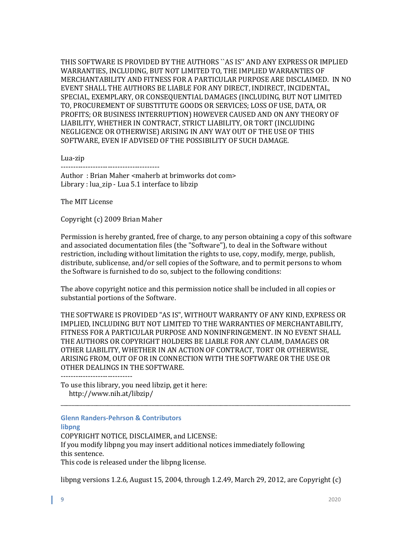THIS SOFTWARE IS PROVIDED BY THE AUTHORS ``AS IS'' AND ANY EXPRESS OR IMPLIED WARRANTIES, INCLUDING, BUT NOT LIMITED TO, THE IMPLIED WARRANTIES OF MERCHANTABILITY AND FITNESS FOR A PARTICULAR PURPOSE ARE DISCLAIMED. IN NO EVENT SHALL THE AUTHORS BE LIABLE FOR ANY DIRECT, INDIRECT, INCIDENTAL, SPECIAL, EXEMPLARY, OR CONSEQUENTIAL DAMAGES (INCLUDING, BUT NOT LIMITED TO, PROCUREMENT OF SUBSTITUTE GOODS OR SERVICES; LOSS OF USE, DATA, OR PROFITS; OR BUSINESS INTERRUPTION) HOWEVER CAUSED AND ON ANY THEORY OF LIABILITY, WHETHER IN CONTRACT, STRICT LIABILITY, OR TORT (INCLUDING NEGLIGENCE OR OTHERWISE) ARISING IN ANY WAY OUT OF THE USE OF THIS SOFTWARE, EVEN IF ADVISED OF THE POSSIBILITY OF SUCH DAMAGE.

Lua-zip

Author : Brian Maher <maherb at brimworks dot com> Library : lua\_zip - Lua 5.1 interface to libzip

 $-$ 

The MIT License

Copyright (c) 2009 Brian Maher

Permission is hereby granted, free of charge, to any person obtaining a copy of this software and associated documentation files (the "Software"), to deal in the Software without restriction, including without limitation the rights to use, copy, modify, merge, publish, distribute, sublicense, and/or sell copies of the Software, and to permit persons to whom the Software is furnished to do so, subject to the following conditions:

The above copyright notice and this permission notice shall be included in all copies or substantial portions of the Software.

THE SOFTWARE IS PROVIDED "AS IS", WITHOUT WARRANTY OF ANY KIND, EXPRESS OR IMPLIED, INCLUDING BUT NOT LIMITED TO THE WARRANTIES OF MERCHANTABILITY, FITNESS FOR A PARTICULAR PURPOSE AND NONINFRINGEMENT. IN NO EVENT SHALL THE AUTHORS OR COPYRIGHT HOLDERS BE LIABLE FOR ANY CLAIM, DAMAGES OR OTHER LIABILITY, WHETHER IN AN ACTION OF CONTRACT, TORT OR OTHERWISE, ARISING FROM, OUT OF OR IN CONNECTION WITH THE SOFTWARE OR THE USE OR OTHER DEALINGS IN THE SOFTWARE.

\_\_\_\_\_\_\_\_\_\_\_\_\_\_\_\_\_\_\_\_\_\_\_\_\_\_\_\_\_\_\_\_\_\_\_\_\_\_\_\_\_\_\_\_\_\_\_\_\_\_\_\_\_\_\_\_\_\_\_\_\_\_\_\_\_\_\_\_\_\_\_\_\_\_\_\_\_\_\_\_\_\_\_\_\_\_\_\_\_\_\_\_\_\_\_\_\_\_\_\_\_\_\_\_\_

-----------------------------

To use this library, you need libzip, get it here: http://www.nih.at/libzip/

**Glenn Randers-Pehrson & Contributors**

**libpng**

COPYRIGHT NOTICE, DISCLAIMER, and LICENSE: If you modify libpng you may insert additional notices immediately following this sentence.

This code is released under the libpng license.

libpng versions 1.2.6, August 15, 2004, through 1.2.49, March 29, 2012, are Copyright (c)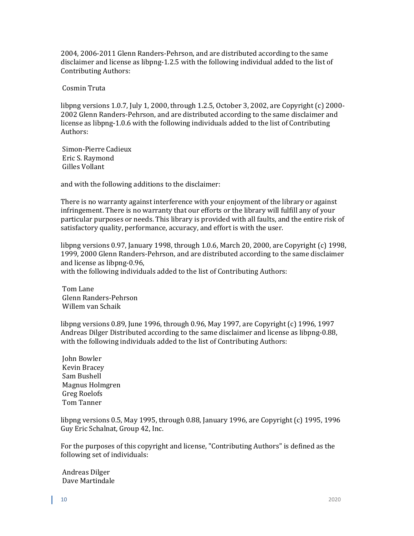2004, 2006-2011 Glenn Randers-Pehrson, and are distributed according to the same disclaimer and license as libpng-1.2.5 with the following individual added to the list of Contributing Authors:

Cosmin Truta

libpng versions 1.0.7, July 1, 2000, through 1.2.5, October 3, 2002, are Copyright (c) 2000- 2002 Glenn Randers-Pehrson, and are distributed according to the same disclaimer and license as libpng-1.0.6 with the following individuals added to the list of Contributing Authors:

Simon-Pierre Cadieux Eric S. Raymond Gilles Vollant

and with the following additions to the disclaimer:

There is no warranty against interference with your enjoyment of the library or against infringement. There is no warranty that our efforts or the library will fulfill any of your particular purposes or needs. This library is provided with all faults, and the entire risk of satisfactory quality, performance, accuracy, and effort is with the user.

libpng versions 0.97, January 1998, through 1.0.6, March 20, 2000, are Copyright (c) 1998, 1999, 2000 Glenn Randers-Pehrson, and are distributed according to the same disclaimer and license as libpng-0.96,

with the following individuals added to the list of Contributing Authors:

Tom Lane Glenn Randers-Pehrson Willem van Schaik

libpng versions 0.89, June 1996, through 0.96, May 1997, are Copyright (c) 1996, 1997 Andreas Dilger Distributed according to the same disclaimer and license as libpng-0.88, with the following individuals added to the list of Contributing Authors:

John Bowler Kevin Bracey Sam Bushell Magnus Holmgren Greg Roelofs Tom Tanner

libpng versions 0.5, May 1995, through 0.88, January 1996, are Copyright (c) 1995, 1996 Guy Eric Schalnat, Group 42, Inc.

For the purposes of this copyright and license, "Contributing Authors" is defined as the following set of individuals:

Andreas Dilger Dave Martindale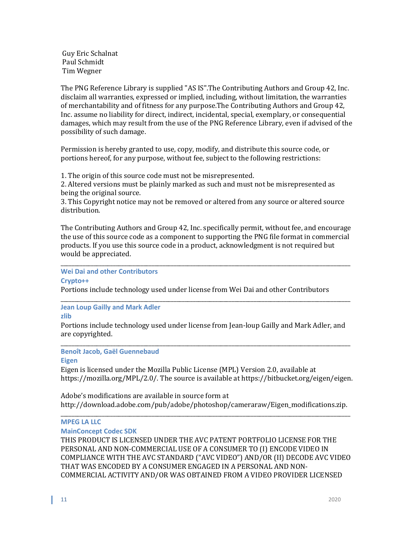Guy Eric Schalnat Paul Schmidt Tim Wegner

The PNG Reference Library is supplied "AS IS".The Contributing Authors and Group 42, Inc. disclaim all warranties, expressed or implied, including, without limitation, the warranties of merchantability and of fitness for any purpose.The Contributing Authors and Group 42, Inc. assume no liability for direct, indirect, incidental, special, exemplary, or consequential damages, which may result from the use of the PNG Reference Library, even if advised of the possibility of such damage.

Permission is hereby granted to use, copy, modify, and distribute this source code, or portions hereof, for any purpose, without fee, subject to the following restrictions:

1. The origin of this source code must not be misrepresented.

2. Altered versions must be plainly marked as such and must not be misrepresented as being the original source.

3. This Copyright notice may not be removed or altered from any source or altered source distribution.

The Contributing Authors and Group 42, Inc. specifically permit, without fee, and encourage the use of this source code as a component to supporting the PNG file format in commercial products. If you use this source code in a product, acknowledgment is not required but would be appreciated.

\_\_\_\_\_\_\_\_\_\_\_\_\_\_\_\_\_\_\_\_\_\_\_\_\_\_\_\_\_\_\_\_\_\_\_\_\_\_\_\_\_\_\_\_\_\_\_\_\_\_\_\_\_\_\_\_\_\_\_\_\_\_\_\_\_\_\_\_\_\_\_\_\_\_\_\_\_\_\_\_\_\_\_\_\_\_\_\_\_\_\_\_\_\_\_\_\_\_\_\_\_\_\_\_\_ **Wei Dai and other Contributors**

**Crypto++**

Portions include technology used under license from Wei Dai and other Contributors

\_\_\_\_\_\_\_\_\_\_\_\_\_\_\_\_\_\_\_\_\_\_\_\_\_\_\_\_\_\_\_\_\_\_\_\_\_\_\_\_\_\_\_\_\_\_\_\_\_\_\_\_\_\_\_\_\_\_\_\_\_\_\_\_\_\_\_\_\_\_\_\_\_\_\_\_\_\_\_\_\_\_\_\_\_\_\_\_\_\_\_\_\_\_\_\_\_\_\_\_\_\_\_\_\_ **Jean Loup Gailly and Mark Adler**

**zlib**

Portions include technology used under license from Jean-loup Gailly and Mark Adler, and are copyrighted.

\_\_\_\_\_\_\_\_\_\_\_\_\_\_\_\_\_\_\_\_\_\_\_\_\_\_\_\_\_\_\_\_\_\_\_\_\_\_\_\_\_\_\_\_\_\_\_\_\_\_\_\_\_\_\_\_\_\_\_\_\_\_\_\_\_\_\_\_\_\_\_\_\_\_\_\_\_\_\_\_\_\_\_\_\_\_\_\_\_\_\_\_\_\_\_\_\_\_\_\_\_\_\_\_\_ **Benoît Jacob, Gaël Guennebaud**

### **Eigen**

Eigen is licensed under the Mozilla Public License (MPL) Version 2.0, available at https://mozilla.org/MPL/2.0/. The source is available at https://bitbucket.org/eigen/eigen.

Adobe's modifications are available in source form at http://download.adobe.com/pub/adobe/photoshop/cameraraw/Eigen\_modifications.zip.

#### \_\_\_\_\_\_\_\_\_\_\_\_\_\_\_\_\_\_\_\_\_\_\_\_\_\_\_\_\_\_\_\_\_\_\_\_\_\_\_\_\_\_\_\_\_\_\_\_\_\_\_\_\_\_\_\_\_\_\_\_\_\_\_\_\_\_\_\_\_\_\_\_\_\_\_\_\_\_\_\_\_\_\_\_\_\_\_\_\_\_\_\_\_\_\_\_\_\_\_\_\_\_\_\_\_ **MPEG LA LLC**

### **MainConcept Codec SDK**

THIS PRODUCT IS LICENSED UNDER THE AVC PATENT PORTFOLIO LICENSE FOR THE PERSONAL AND NON-COMMERCIAL USE OF A CONSUMER TO (I) ENCODE VIDEO IN COMPLIANCE WITH THE AVC STANDARD ("AVC VIDEO") AND/OR (II) DECODE AVC VIDEO THAT WAS ENCODED BY A CONSUMER ENGAGED IN A PERSONAL AND NON-COMMERCIAL ACTIVITY AND/OR WAS OBTAINED FROM A VIDEO PROVIDER LICENSED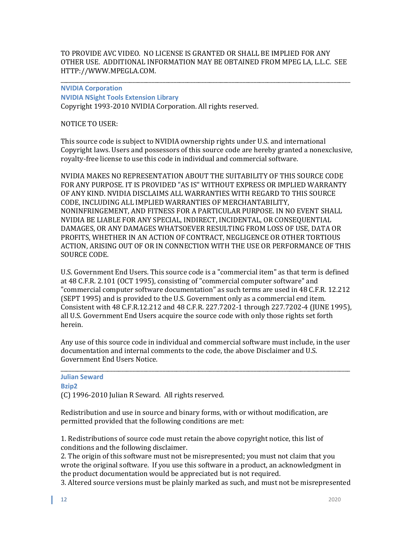TO PROVIDE AVC VIDEO. NO LICENSE IS GRANTED OR SHALL BE IMPLIED FOR ANY OTHER USE. ADDITIONAL INFORMATION MAY BE OBTAINED FROM MPEG LA, L.L.C. SEE HTTP://WWW.MPEGLA.COM.

#### \_\_\_\_\_\_\_\_\_\_\_\_\_\_\_\_\_\_\_\_\_\_\_\_\_\_\_\_\_\_\_\_\_\_\_\_\_\_\_\_\_\_\_\_\_\_\_\_\_\_\_\_\_\_\_\_\_\_\_\_\_\_\_\_\_\_\_\_\_\_\_\_\_\_\_\_\_\_\_\_\_\_\_\_\_\_\_\_\_\_\_\_\_\_\_\_\_\_\_\_\_\_\_\_\_ **NVIDIA Corporation**

**NVIDIA NSight Tools Extension Library** Copyright 1993-2010 NVIDIA Corporation. All rights reserved.

# NOTICE TO USER:

This source code is subject to NVIDIA ownership rights under U.S. and international Copyright laws. Users and possessors of this source code are hereby granted a nonexclusive, royalty-free license to use this code in individual and commercial software.

NVIDIA MAKES NO REPRESENTATION ABOUT THE SUITABILITY OF THIS SOURCE CODE FOR ANY PURPOSE. IT IS PROVIDED "AS IS" WITHOUT EXPRESS OR IMPLIED WARRANTY OF ANY KIND. NVIDIA DISCLAIMS ALL WARRANTIES WITH REGARD TO THIS SOURCE CODE, INCLUDING ALL IMPLIED WARRANTIES OF MERCHANTABILITY, NONINFRINGEMENT, AND FITNESS FOR A PARTICULAR PURPOSE. IN NO EVENT SHALL NVIDIA BE LIABLE FOR ANY SPECIAL, INDIRECT, INCIDENTAL, OR CONSEQUENTIAL DAMAGES, OR ANY DAMAGES WHATSOEVER RESULTING FROM LOSS OF USE, DATA OR PROFITS, WHETHER IN AN ACTION OF CONTRACT, NEGLIGENCE OR OTHER TORTIOUS ACTION, ARISING OUT OF OR IN CONNECTION WITH THE USE OR PERFORMANCE OF THIS SOURCE CODE.

U.S. Government End Users. This source code is a "commercial item" as that term is defined at 48 C.F.R. 2.101 (OCT 1995), consisting of "commercial computer software" and "commercial computer software documentation" as such terms are used in 48 C.F.R. 12.212 (SEPT 1995) and is provided to the U.S. Government only as a commercial end item. Consistent with 48 C.F.R.12.212 and 48 C.F.R. 227.7202-1 through 227.7202-4 (JUNE 1995), all U.S. Government End Users acquire the source code with only those rights set forth herein.

Any use of this source code in individual and commercial software must include, in the user documentation and internal comments to the code, the above Disclaimer and U.S. Government End Users Notice.

\_\_\_\_\_\_\_\_\_\_\_\_\_\_\_\_\_\_\_\_\_\_\_\_\_\_\_\_\_\_\_\_\_\_\_\_\_\_\_\_\_\_\_\_\_\_\_\_\_\_\_\_\_\_\_\_\_\_\_\_\_\_\_\_\_\_\_\_\_\_\_\_\_\_\_\_\_\_\_\_\_\_\_\_\_\_\_\_\_\_\_\_\_\_\_\_\_\_\_\_\_\_\_\_\_ **Julian Seward Bzip2** (C) 1996-2010 Julian R Seward. All rights reserved.

Redistribution and use in source and binary forms, with or without modification, are permitted provided that the following conditions are met:

1. Redistributions of source code must retain the above copyright notice, this list of conditions and the following disclaimer.

2. The origin of this software must not be misrepresented; you must not claim that you wrote the original software. If you use this software in a product, an acknowledgment in the product documentation would be appreciated but is not required.

3. Altered source versions must be plainly marked as such, and must not be misrepresented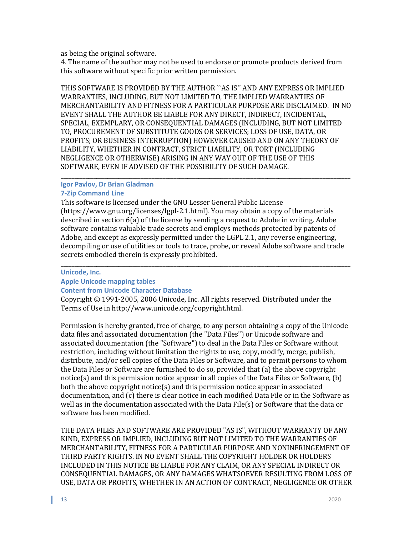as being the original software.

4. The name of the author may not be used to endorse or promote products derived from this software without specific prior written permission.

THIS SOFTWARE IS PROVIDED BY THE AUTHOR ``AS IS'' AND ANY EXPRESS OR IMPLIED WARRANTIES, INCLUDING, BUT NOT LIMITED TO, THE IMPLIED WARRANTIES OF MERCHANTABILITY AND FITNESS FOR A PARTICULAR PURPOSE ARE DISCLAIMED. IN NO EVENT SHALL THE AUTHOR BE LIABLE FOR ANY DIRECT, INDIRECT, INCIDENTAL, SPECIAL, EXEMPLARY, OR CONSEQUENTIAL DAMAGES (INCLUDING, BUT NOT LIMITED TO, PROCUREMENT OF SUBSTITUTE GOODS OR SERVICES; LOSS OF USE, DATA, OR PROFITS; OR BUSINESS INTERRUPTION) HOWEVER CAUSED AND ON ANY THEORY OF LIABILITY, WHETHER IN CONTRACT, STRICT LIABILITY, OR TORT (INCLUDING NEGLIGENCE OR OTHERWISE) ARISING IN ANY WAY OUT OF THE USE OF THIS SOFTWARE, EVEN IF ADVISED OF THE POSSIBILITY OF SUCH DAMAGE.

\_\_\_\_\_\_\_\_\_\_\_\_\_\_\_\_\_\_\_\_\_\_\_\_\_\_\_\_\_\_\_\_\_\_\_\_\_\_\_\_\_\_\_\_\_\_\_\_\_\_\_\_\_\_\_\_\_\_\_\_\_\_\_\_\_\_\_\_\_\_\_\_\_\_\_\_\_\_\_\_\_\_\_\_\_\_\_\_\_\_\_\_\_\_\_\_\_\_\_\_\_\_\_\_\_

# **Igor Pavlov, Dr Brian Gladman 7-Zip Command Line**

This software is licensed under the GNU Lesser General Public License (https://www.gnu.org/licenses/lgpl-2.1.html). You may obtain a copy of the materials described in section 6(a) of the license by sending a request to Adobe in writing. Adobe software contains valuable trade secrets and employs methods protected by patents of Adobe, and except as expressly permitted under the LGPL 2.1, any reverse engineering, decompiling or use of utilities or tools to trace, probe, or reveal Adobe software and trade secrets embodied therein is expressly prohibited.

#### \_\_\_\_\_\_\_\_\_\_\_\_\_\_\_\_\_\_\_\_\_\_\_\_\_\_\_\_\_\_\_\_\_\_\_\_\_\_\_\_\_\_\_\_\_\_\_\_\_\_\_\_\_\_\_\_\_\_\_\_\_\_\_\_\_\_\_\_\_\_\_\_\_\_\_\_\_\_\_\_\_\_\_\_\_\_\_\_\_\_\_\_\_\_\_\_\_\_\_\_\_\_\_\_\_ **Unicode, Inc.**

### **Apple Unicode mapping tables**

# **Content from Unicode Character Database**

Copyright © 1991-2005, 2006 Unicode, Inc. All rights reserved. Distributed under the Terms of Use in http://www.unicode.org/copyright.html.

Permission is hereby granted, free of charge, to any person obtaining a copy of the Unicode data files and associated documentation (the "Data Files") or Unicode software and associated documentation (the "Software") to deal in the Data Files or Software without restriction, including without limitation the rights to use, copy, modify, merge, publish, distribute, and/or sell copies of the Data Files or Software, and to permit persons to whom the Data Files or Software are furnished to do so, provided that (a) the above copyright notice(s) and this permission notice appear in all copies of the Data Files or Software, (b) both the above copyright notice(s) and this permission notice appear in associated documentation, and (c) there is clear notice in each modified Data File or in the Software as well as in the documentation associated with the Data File(s) or Software that the data or software has been modified.

THE DATA FILES AND SOFTWARE ARE PROVIDED "AS IS", WITHOUT WARRANTY OF ANY KIND, EXPRESS OR IMPLIED, INCLUDING BUT NOT LIMITED TO THE WARRANTIES OF MERCHANTABILITY, FITNESS FOR A PARTICULAR PURPOSE AND NONINFRINGEMENT OF THIRD PARTY RIGHTS. IN NO EVENT SHALL THE COPYRIGHT HOLDER OR HOLDERS INCLUDED IN THIS NOTICE BE LIABLE FOR ANY CLAIM, OR ANY SPECIAL INDIRECT OR CONSEQUENTIAL DAMAGES, OR ANY DAMAGES WHATSOEVER RESULTING FROM LOSS OF USE, DATA OR PROFITS, WHETHER IN AN ACTION OF CONTRACT, NEGLIGENCE OR OTHER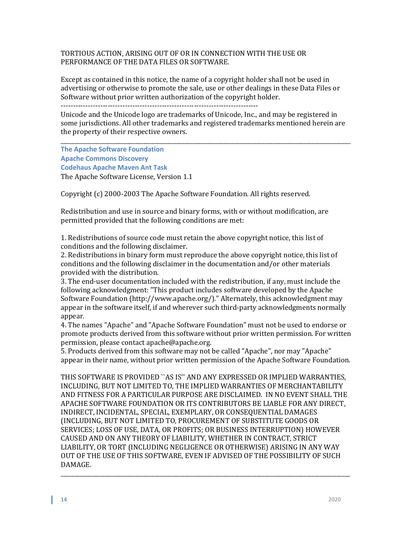# TORTIOUS ACTION, ARISING OUT OF OR IN CONNECTION WITH THE USE OR PERFORMANCE OF THE DATA FILES OR SOFTWARE.

Except as contained in this notice, the name of a copyright holder shall not be used in advertising or otherwise to promote the sale, use or other dealings in these Data Files or Software without prior written authorization of the copyright holder.

--------------------------------------------------------------------------------

Unicode and the Unicode logo are trademarks of Unicode, Inc., and may be registered in some jurisdictions. All other trademarks and registered trademarks mentioned herein are the property of their respective owners.

\_\_\_\_\_\_\_\_\_\_\_\_\_\_\_\_\_\_\_\_\_\_\_\_\_\_\_\_\_\_\_\_\_\_\_\_\_\_\_\_\_\_\_\_\_\_\_\_\_\_\_\_\_\_\_\_\_\_\_\_\_\_\_\_\_\_\_\_\_\_\_\_\_\_\_\_\_\_\_\_\_\_\_\_\_\_\_\_\_\_\_\_\_\_\_\_\_\_\_\_\_\_\_\_\_ **The Apache Software Foundation Apache Commons Discovery Codehaus Apache Maven Ant Task**  The Apache Software License, Version 1.1

Copyright (c) 2000-2003 The Apache Software Foundation. All rights reserved.

Redistribution and use in source and binary forms, with or without modification, are permitted provided that the following conditions are met:

1. Redistributions of source code must retain the above copyright notice, this list of conditions and the following disclaimer.

2. Redistributions in binary form must reproduce the above copyright notice, this list of conditions and the following disclaimer in the documentation and/or other materials provided with the distribution.

3. The end-user documentation included with the redistribution, if any, must include the following acknowledgment: "This product includes software developed by the Apache Software Foundation (http://www.apache.org/)." Alternately, this acknowledgment may appear in the software itself, if and wherever such third-party acknowledgments normally appear.

4. The names "Apache" and "Apache Software Foundation" must not be used to endorse or promote products derived from this software without prior written permission. For written permission, please contact apache@apache.org.

5. Products derived from this software may not be called "Apache", nor may "Apache" appear in their name, without prior written permission of the Apache Software Foundation.

THIS SOFTWARE IS PROVIDED ``AS IS'' AND ANY EXPRESSED OR IMPLIED WARRANTIES, INCLUDING, BUT NOT LIMITED TO, THE IMPLIED WARRANTIES OF MERCHANTABILITY AND FITNESS FOR A PARTICULAR PURPOSE ARE DISCLAIMED. IN NO EVENT SHALL THE APACHE SOFTWARE FOUNDATION OR ITS CONTRIBUTORS BE LIABLE FOR ANY DIRECT, INDIRECT, INCIDENTAL, SPECIAL, EXEMPLARY, OR CONSEQUENTIAL DAMAGES (INCLUDING, BUT NOT LIMITED TO, PROCUREMENT OF SUBSTITUTE GOODS OR SERVICES; LOSS OF USE, DATA, OR PROFITS; OR BUSINESS INTERRUPTION) HOWEVER CAUSED AND ON ANY THEORY OF LIABILITY, WHETHER IN CONTRACT, STRICT LIABILITY, OR TORT (INCLUDING NEGLIGENCE OR OTHERWISE) ARISING IN ANY WAY OUT OF THE USE OF THIS SOFTWARE, EVEN IF ADVISED OF THE POSSIBILITY OF SUCH DAMAGE.

\_\_\_\_\_\_\_\_\_\_\_\_\_\_\_\_\_\_\_\_\_\_\_\_\_\_\_\_\_\_\_\_\_\_\_\_\_\_\_\_\_\_\_\_\_\_\_\_\_\_\_\_\_\_\_\_\_\_\_\_\_\_\_\_\_\_\_\_\_\_\_\_\_\_\_\_\_\_\_\_\_\_\_\_\_\_\_\_\_\_\_\_\_\_\_\_\_\_\_\_\_\_\_\_\_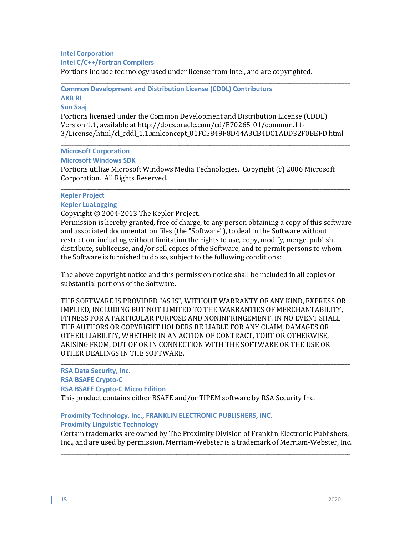# **Intel Corporation Intel C/C++/Fortran Compilers**

Portions include technology used under license from Intel, and are copyrighted.

#### \_\_\_\_\_\_\_\_\_\_\_\_\_\_\_\_\_\_\_\_\_\_\_\_\_\_\_\_\_\_\_\_\_\_\_\_\_\_\_\_\_\_\_\_\_\_\_\_\_\_\_\_\_\_\_\_\_\_\_\_\_\_\_\_\_\_\_\_\_\_\_\_\_\_\_\_\_\_\_\_\_\_\_\_\_\_\_\_\_\_\_\_\_\_\_\_\_\_\_\_\_\_\_\_\_ **Common Development and Distribution License (CDDL) Contributors AXB RI**

# **Sun Saaj**

Portions licensed under the Common Development and Distribution License (CDDL) Version 1.1, available at http://docs.oracle.com/cd/E70265\_01/common.11- 3/License/html/cl\_cddl\_1.1.xmlconcept\_01FC5849F8D44A3CB4DC1ADD32F0BEFD.html

# \_\_\_\_\_\_\_\_\_\_\_\_\_\_\_\_\_\_\_\_\_\_\_\_\_\_\_\_\_\_\_\_\_\_\_\_\_\_\_\_\_\_\_\_\_\_\_\_\_\_\_\_\_\_\_\_\_\_\_\_\_\_\_\_\_\_\_\_\_\_\_\_\_\_\_\_\_\_\_\_\_\_\_\_\_\_\_\_\_\_\_\_\_\_\_\_\_\_\_\_\_\_\_\_\_ **Microsoft Corporation Microsoft Windows SDK**

Portions utilize Microsoft Windows Media Technologies. Copyright (c) 2006 Microsoft Corporation. All Rights Reserved.

#### \_\_\_\_\_\_\_\_\_\_\_\_\_\_\_\_\_\_\_\_\_\_\_\_\_\_\_\_\_\_\_\_\_\_\_\_\_\_\_\_\_\_\_\_\_\_\_\_\_\_\_\_\_\_\_\_\_\_\_\_\_\_\_\_\_\_\_\_\_\_\_\_\_\_\_\_\_\_\_\_\_\_\_\_\_\_\_\_\_\_\_\_\_\_\_\_\_\_\_\_\_\_\_\_\_ **Kepler Project**

# **Kepler LuaLogging**

Copyright © 2004-2013 The Kepler Project.

Permission is hereby granted, free of charge, to any person obtaining a copy of this software and associated documentation files (the "Software"), to deal in the Software without restriction, including without limitation the rights to use, copy, modify, merge, publish, distribute, sublicense, and/or sell copies of the Software, and to permit persons to whom the Software is furnished to do so, subject to the following conditions:

The above copyright notice and this permission notice shall be included in all copies or substantial portions of the Software.

THE SOFTWARE IS PROVIDED "AS IS", WITHOUT WARRANTY OF ANY KIND, EXPRESS OR IMPLIED, INCLUDING BUT NOT LIMITED TO THE WARRANTIES OF MERCHANTABILITY, FITNESS FOR A PARTICULAR PURPOSE AND NONINFRINGEMENT. IN NO EVENT SHALL THE AUTHORS OR COPYRIGHT HOLDERS BE LIABLE FOR ANY CLAIM, DAMAGES OR OTHER LIABILITY, WHETHER IN AN ACTION OF CONTRACT, TORT OR OTHERWISE, ARISING FROM, OUT OF OR IN CONNECTION WITH THE SOFTWARE OR THE USE OR OTHER DEALINGS IN THE SOFTWARE.

\_\_\_\_\_\_\_\_\_\_\_\_\_\_\_\_\_\_\_\_\_\_\_\_\_\_\_\_\_\_\_\_\_\_\_\_\_\_\_\_\_\_\_\_\_\_\_\_\_\_\_\_\_\_\_\_\_\_\_\_\_\_\_\_\_\_\_\_\_\_\_\_\_\_\_\_\_\_\_\_\_\_\_\_\_\_\_\_\_\_\_\_\_\_\_\_\_\_\_\_\_\_\_\_\_ **RSA Data Security, Inc. RSA BSAFE Crypto-C RSA BSAFE Crypto-C Micro Edition** This product contains either BSAFE and/or TIPEM software by RSA Security Inc.

\_\_\_\_\_\_\_\_\_\_\_\_\_\_\_\_\_\_\_\_\_\_\_\_\_\_\_\_\_\_\_\_\_\_\_\_\_\_\_\_\_\_\_\_\_\_\_\_\_\_\_\_\_\_\_\_\_\_\_\_\_\_\_\_\_\_\_\_\_\_\_\_\_\_\_\_\_\_\_\_\_\_\_\_\_\_\_\_\_\_\_\_\_\_\_\_\_\_\_\_\_\_\_\_\_ **Proximity Technology, Inc., FRANKLIN ELECTRONIC PUBLISHERS, INC. Proximity Linguistic Technology**

Certain trademarks are owned by The Proximity Division of Franklin Electronic Publishers, Inc., and are used by permission. Merriam-Webster is a trademark of Merriam-Webster, Inc.

\_\_\_\_\_\_\_\_\_\_\_\_\_\_\_\_\_\_\_\_\_\_\_\_\_\_\_\_\_\_\_\_\_\_\_\_\_\_\_\_\_\_\_\_\_\_\_\_\_\_\_\_\_\_\_\_\_\_\_\_\_\_\_\_\_\_\_\_\_\_\_\_\_\_\_\_\_\_\_\_\_\_\_\_\_\_\_\_\_\_\_\_\_\_\_\_\_\_\_\_\_\_\_\_\_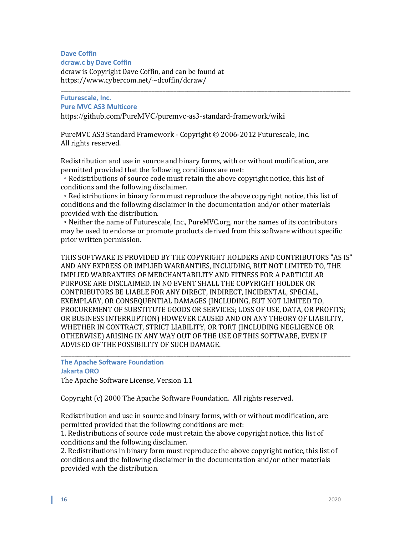# **Dave Coffin**

**dcraw.c by Dave Coffin**

dcraw is Copyright Dave Coffin, and can be found at https://www.cybercom.net/~dcoffin/dcraw/

#### \_\_\_\_\_\_\_\_\_\_\_\_\_\_\_\_\_\_\_\_\_\_\_\_\_\_\_\_\_\_\_\_\_\_\_\_\_\_\_\_\_\_\_\_\_\_\_\_\_\_\_\_\_\_\_\_\_\_\_\_\_\_\_\_\_\_\_\_\_\_\_\_\_\_\_\_\_\_\_\_\_\_\_\_\_\_\_\_\_\_\_\_\_\_\_\_\_\_\_\_\_\_\_\_\_ **Futurescale, Inc. Pure MVC AS3 Multicore**

https://github.com/PureMVC/puremvc-as3-standard-framework/wiki

PureMVC AS3 Standard Framework - Copyright © 2006-2012 Futurescale, Inc. All rights reserved.

Redistribution and use in source and binary forms, with or without modification, are permitted provided that the following conditions are met:

◦Redistributions of source code must retain the above copyright notice, this list of conditions and the following disclaimer.

◦Redistributions in binary form must reproduce the above copyright notice, this list of conditions and the following disclaimer in the documentation and/or other materials provided with the distribution.

◦Neither the name of Futurescale, Inc., PureMVC.org, nor the names of its contributors may be used to endorse or promote products derived from this software without specific prior written permission.

THIS SOFTWARE IS PROVIDED BY THE COPYRIGHT HOLDERS AND CONTRIBUTORS "AS IS" AND ANY EXPRESS OR IMPLIED WARRANTIES, INCLUDING, BUT NOT LIMITED TO, THE IMPLIED WARRANTIES OF MERCHANTABILITY AND FITNESS FOR A PARTICULAR PURPOSE ARE DISCLAIMED. IN NO EVENT SHALL THE COPYRIGHT HOLDER OR CONTRIBUTORS BE LIABLE FOR ANY DIRECT, INDIRECT, INCIDENTAL, SPECIAL, EXEMPLARY, OR CONSEQUENTIAL DAMAGES (INCLUDING, BUT NOT LIMITED TO, PROCUREMENT OF SUBSTITUTE GOODS OR SERVICES; LOSS OF USE, DATA, OR PROFITS; OR BUSINESS INTERRUPTION) HOWEVER CAUSED AND ON ANY THEORY OF LIABILITY, WHETHER IN CONTRACT, STRICT LIABILITY, OR TORT (INCLUDING NEGLIGENCE OR OTHERWISE) ARISING IN ANY WAY OUT OF THE USE OF THIS SOFTWARE, EVEN IF ADVISED OF THE POSSIBILITY OF SUCH DAMAGE.

\_\_\_\_\_\_\_\_\_\_\_\_\_\_\_\_\_\_\_\_\_\_\_\_\_\_\_\_\_\_\_\_\_\_\_\_\_\_\_\_\_\_\_\_\_\_\_\_\_\_\_\_\_\_\_\_\_\_\_\_\_\_\_\_\_\_\_\_\_\_\_\_\_\_\_\_\_\_\_\_\_\_\_\_\_\_\_\_\_\_\_\_\_\_\_\_\_\_\_\_\_\_\_\_\_ **The Apache Software Foundation Jakarta ORO** The Apache Software License, Version 1.1

Copyright (c) 2000 The Apache Software Foundation. All rights reserved.

Redistribution and use in source and binary forms, with or without modification, are permitted provided that the following conditions are met:

1. Redistributions of source code must retain the above copyright notice, this list of conditions and the following disclaimer.

2. Redistributions in binary form must reproduce the above copyright notice, this list of conditions and the following disclaimer in the documentation and/or other materials provided with the distribution.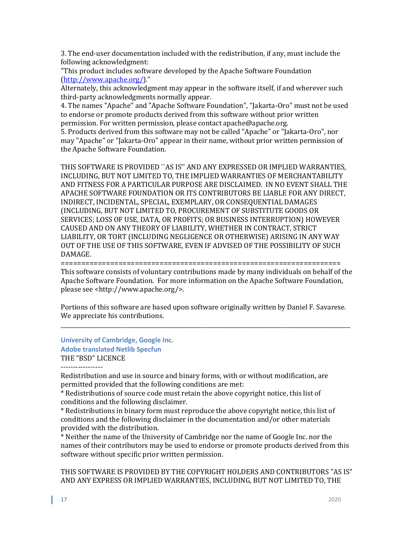3. The end-user documentation included with the redistribution, if any, must include the following acknowledgment:

"This product includes software developed by the Apache Software Foundation [\(http://www.apache.org/\)](http://www.apache.org/)."

Alternately, this acknowledgment may appear in the software itself, if and wherever such third-party acknowledgments normally appear.

4. The names "Apache" and "Apache Software Foundation", "Jakarta-Oro" must not be used to endorse or promote products derived from this software without prior written permission. For written permission, please contact apache@apache.org.

5. Products derived from this software may not be called "Apache" or "Jakarta-Oro", nor may "Apache" or "Jakarta-Oro" appear in their name, without prior written permission of the Apache Software Foundation.

THIS SOFTWARE IS PROVIDED ``AS IS'' AND ANY EXPRESSED OR IMPLIED WARRANTIES, INCLUDING, BUT NOT LIMITED TO, THE IMPLIED WARRANTIES OF MERCHANTABILITY AND FITNESS FOR A PARTICULAR PURPOSE ARE DISCLAIMED. IN NO EVENT SHALL THE APACHE SOFTWARE FOUNDATION OR ITS CONTRIBUTORS BE LIABLE FOR ANY DIRECT, INDIRECT, INCIDENTAL, SPECIAL, EXEMPLARY, OR CONSEQUENTIAL DAMAGES (INCLUDING, BUT NOT LIMITED TO, PROCUREMENT OF SUBSTITUTE GOODS OR SERVICES; LOSS OF USE, DATA, OR PROFITS; OR BUSINESS INTERRUPTION) HOWEVER CAUSED AND ON ANY THEORY OF LIABILITY, WHETHER IN CONTRACT, STRICT LIABILITY, OR TORT (INCLUDING NEGLIGENCE OR OTHERWISE) ARISING IN ANY WAY OUT OF THE USE OF THIS SOFTWARE, EVEN IF ADVISED OF THE POSSIBILITY OF SUCH DAMAGE.<br>----------

====================================================================

This software consists of voluntary contributions made by many individuals on behalf of the Apache Software Foundation. For more information on the Apache Software Foundation, please see <http://www.apache.org/>.

Portions of this software are based upon software originally written by Daniel F. Savarese. We appreciate his contributions.

\_\_\_\_\_\_\_\_\_\_\_\_\_\_\_\_\_\_\_\_\_\_\_\_\_\_\_\_\_\_\_\_\_\_\_\_\_\_\_\_\_\_\_\_\_\_\_\_\_\_\_\_\_\_\_\_\_\_\_\_\_\_\_\_\_\_\_\_\_\_\_\_\_\_\_\_\_\_\_\_\_\_\_\_\_\_\_\_\_\_\_\_\_\_\_\_\_\_\_\_\_\_\_\_\_

**University of Cambridge, Google Inc. Adobe translated Netlib Specfun**  THE "BSD" LICENCE

-----------------

Redistribution and use in source and binary forms, with or without modification, are permitted provided that the following conditions are met:

\* Redistributions of source code must retain the above copyright notice, this list of conditions and the following disclaimer.

\* Redistributions in binary form must reproduce the above copyright notice, this list of conditions and the following disclaimer in the documentation and/or other materials provided with the distribution.

\* Neither the name of the University of Cambridge nor the name of Google Inc. nor the names of their contributors may be used to endorse or promote products derived from this software without specific prior written permission.

THIS SOFTWARE IS PROVIDED BY THE COPYRIGHT HOLDERS AND CONTRIBUTORS "AS IS" AND ANY EXPRESS OR IMPLIED WARRANTIES, INCLUDING, BUT NOT LIMITED TO, THE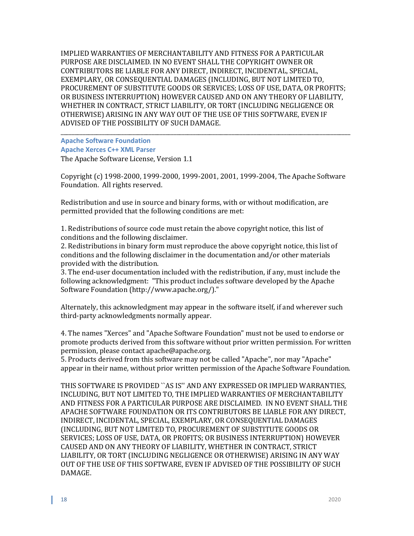IMPLIED WARRANTIES OF MERCHANTABILITY AND FITNESS FOR A PARTICULAR PURPOSE ARE DISCLAIMED. IN NO EVENT SHALL THE COPYRIGHT OWNER OR CONTRIBUTORS BE LIABLE FOR ANY DIRECT, INDIRECT, INCIDENTAL, SPECIAL, EXEMPLARY, OR CONSEQUENTIAL DAMAGES (INCLUDING, BUT NOT LIMITED TO, PROCUREMENT OF SUBSTITUTE GOODS OR SERVICES; LOSS OF USE, DATA, OR PROFITS; OR BUSINESS INTERRUPTION) HOWEVER CAUSED AND ON ANY THEORY OF LIABILITY, WHETHER IN CONTRACT, STRICT LIABILITY, OR TORT (INCLUDING NEGLIGENCE OR OTHERWISE) ARISING IN ANY WAY OUT OF THE USE OF THIS SOFTWARE, EVEN IF ADVISED OF THE POSSIBILITY OF SUCH DAMAGE.

\_\_\_\_\_\_\_\_\_\_\_\_\_\_\_\_\_\_\_\_\_\_\_\_\_\_\_\_\_\_\_\_\_\_\_\_\_\_\_\_\_\_\_\_\_\_\_\_\_\_\_\_\_\_\_\_\_\_\_\_\_\_\_\_\_\_\_\_\_\_\_\_\_\_\_\_\_\_\_\_\_\_\_\_\_\_\_\_\_\_\_\_\_\_\_\_\_\_\_\_\_\_\_\_\_ **Apache Software Foundation Apache Xerces C++ XML Parser**

The Apache Software License, Version 1.1

Copyright (c) 1998-2000, 1999-2000, 1999-2001, 2001, 1999-2004, The Apache Software Foundation. All rights reserved.

Redistribution and use in source and binary forms, with or without modification, are permitted provided that the following conditions are met:

1. Redistributions of source code must retain the above copyright notice, this list of conditions and the following disclaimer.

2. Redistributions in binary form must reproduce the above copyright notice, this list of conditions and the following disclaimer in the documentation and/or other materials provided with the distribution.

3. The end-user documentation included with the redistribution, if any, must include the following acknowledgment: "This product includes software developed by the Apache Software Foundation (http://www.apache.org/)."

Alternately, this acknowledgment may appear in the software itself, if and wherever such third-party acknowledgments normally appear.

4. The names "Xerces" and "Apache Software Foundation" must not be used to endorse or promote products derived from this software without prior written permission. For written permission, please contact apache@apache.org.

5. Products derived from this software may not be called "Apache", nor may "Apache" appear in their name, without prior written permission of the Apache Software Foundation.

THIS SOFTWARE IS PROVIDED ``AS IS'' AND ANY EXPRESSED OR IMPLIED WARRANTIES, INCLUDING, BUT NOT LIMITED TO, THE IMPLIED WARRANTIES OF MERCHANTABILITY AND FITNESS FOR A PARTICULAR PURPOSE ARE DISCLAIMED. IN NO EVENT SHALL THE APACHE SOFTWARE FOUNDATION OR ITS CONTRIBUTORS BE LIABLE FOR ANY DIRECT, INDIRECT, INCIDENTAL, SPECIAL, EXEMPLARY, OR CONSEQUENTIAL DAMAGES (INCLUDING, BUT NOT LIMITED TO, PROCUREMENT OF SUBSTITUTE GOODS OR SERVICES; LOSS OF USE, DATA, OR PROFITS; OR BUSINESS INTERRUPTION) HOWEVER CAUSED AND ON ANY THEORY OF LIABILITY, WHETHER IN CONTRACT, STRICT LIABILITY, OR TORT (INCLUDING NEGLIGENCE OR OTHERWISE) ARISING IN ANY WAY OUT OF THE USE OF THIS SOFTWARE, EVEN IF ADVISED OF THE POSSIBILITY OF SUCH DAMAGE.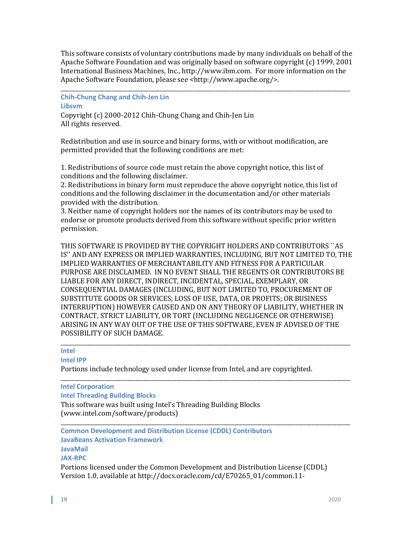This software consists of voluntary contributions made by many individuals on behalf of the Apache Software Foundation and was originally based on software copyright (c) 1999, 2001 International Business Machines, Inc., http://www.ibm.com. For more information on the Apache Software Foundation, please see <http://www.apache.org/>.

#### \_\_\_\_\_\_\_\_\_\_\_\_\_\_\_\_\_\_\_\_\_\_\_\_\_\_\_\_\_\_\_\_\_\_\_\_\_\_\_\_\_\_\_\_\_\_\_\_\_\_\_\_\_\_\_\_\_\_\_\_\_\_\_\_\_\_\_\_\_\_\_\_\_\_\_\_\_\_\_\_\_\_\_\_\_\_\_\_\_\_\_\_\_\_\_\_\_\_\_\_\_\_\_\_\_ **Chih-Chung Chang and Chih-Jen Lin Libsvm**

Copyright (c) 2000-2012 Chih-Chung Chang and Chih-Jen Lin All rights reserved.

Redistribution and use in source and binary forms, with or without modification, are permitted provided that the following conditions are met:

1. Redistributions of source code must retain the above copyright notice, this list of conditions and the following disclaimer.

2. Redistributions in binary form must reproduce the above copyright notice, this list of conditions and the following disclaimer in the documentation and/or other materials provided with the distribution.

3. Neither name of copyright holders nor the names of its contributors may be used to endorse or promote products derived from this software without specific prior written permission.

THIS SOFTWARE IS PROVIDED BY THE COPYRIGHT HOLDERS AND CONTRIBUTORS ``AS IS'' AND ANY EXPRESS OR IMPLIED WARRANTIES, INCLUDING, BUT NOT LIMITED TO, THE IMPLIED WARRANTIES OF MERCHANTABILITY AND FITNESS FOR A PARTICULAR PURPOSE ARE DISCLAIMED. IN NO EVENT SHALL THE REGENTS OR CONTRIBUTORS BE LIABLE FOR ANY DIRECT, INDIRECT, INCIDENTAL, SPECIAL, EXEMPLARY, OR CONSEQUENTIAL DAMAGES (INCLUDING, BUT NOT LIMITED TO, PROCUREMENT OF SUBSTITUTE GOODS OR SERVICES; LOSS OF USE, DATA, OR PROFITS; OR BUSINESS INTERRUPTION) HOWEVER CAUSED AND ON ANY THEORY OF LIABILITY, WHETHER IN CONTRACT, STRICT LIABILITY, OR TORT (INCLUDING NEGLIGENCE OR OTHERWISE) ARISING IN ANY WAY OUT OF THE USE OF THIS SOFTWARE, EVEN IF ADVISED OF THE POSSIBILITY OF SUCH DAMAGE.

\_\_\_\_\_\_\_\_\_\_\_\_\_\_\_\_\_\_\_\_\_\_\_\_\_\_\_\_\_\_\_\_\_\_\_\_\_\_\_\_\_\_\_\_\_\_\_\_\_\_\_\_\_\_\_\_\_\_\_\_\_\_\_\_\_\_\_\_\_\_\_\_\_\_\_\_\_\_\_\_\_\_\_\_\_\_\_\_\_\_\_\_\_\_\_\_\_\_\_\_\_\_\_\_\_

#### \_\_\_\_\_\_\_\_\_\_\_\_\_\_\_\_\_\_\_\_\_\_\_\_\_\_\_\_\_\_\_\_\_\_\_\_\_\_\_\_\_\_\_\_\_\_\_\_\_\_\_\_\_\_\_\_\_\_\_\_\_\_\_\_\_\_\_\_\_\_\_\_\_\_\_\_\_\_\_\_\_\_\_\_\_\_\_\_\_\_\_\_\_\_\_\_\_\_\_\_\_\_\_\_\_ **Intel**

# **Intel IPP**

Portions include technology used under license from Intel, and are copyrighted.

**Intel Corporation Intel Threading Building Blocks** This software was built using Intel's Threading Building Blocks (www.intel.com/software/products)

\_\_\_\_\_\_\_\_\_\_\_\_\_\_\_\_\_\_\_\_\_\_\_\_\_\_\_\_\_\_\_\_\_\_\_\_\_\_\_\_\_\_\_\_\_\_\_\_\_\_\_\_\_\_\_\_\_\_\_\_\_\_\_\_\_\_\_\_\_\_\_\_\_\_\_\_\_\_\_\_\_\_\_\_\_\_\_\_\_\_\_\_\_\_\_\_\_\_\_\_\_\_\_\_\_ **Common Development and Distribution License (CDDL) Contributors JavaBeans Activation Framework JavaMail JAX-RPC** 

Portions licensed under the Common Development and Distribution License (CDDL) Version 1.0, available at http://docs.oracle.com/cd/E70265\_01/common.11-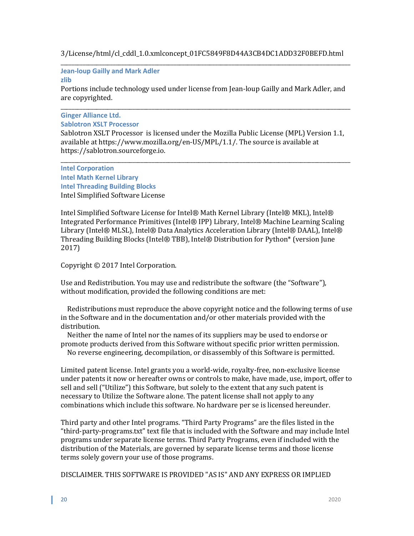# 3/License/html/cl\_cddl\_1.0.xmlconcept\_01FC5849F8D44A3CB4DC1ADD32F0BEFD.html

\_\_\_\_\_\_\_\_\_\_\_\_\_\_\_\_\_\_\_\_\_\_\_\_\_\_\_\_\_\_\_\_\_\_\_\_\_\_\_\_\_\_\_\_\_\_\_\_\_\_\_\_\_\_\_\_\_\_\_\_\_\_\_\_\_\_\_\_\_\_\_\_\_\_\_\_\_\_\_\_\_\_\_\_\_\_\_\_\_\_\_\_\_\_\_\_\_\_\_\_\_\_\_\_\_ **Jean-loup Gailly and Mark Adler zlib**

Portions include technology used under license from Jean-loup Gailly and Mark Adler, and are copyrighted.

# \_\_\_\_\_\_\_\_\_\_\_\_\_\_\_\_\_\_\_\_\_\_\_\_\_\_\_\_\_\_\_\_\_\_\_\_\_\_\_\_\_\_\_\_\_\_\_\_\_\_\_\_\_\_\_\_\_\_\_\_\_\_\_\_\_\_\_\_\_\_\_\_\_\_\_\_\_\_\_\_\_\_\_\_\_\_\_\_\_\_\_\_\_\_\_\_\_\_\_\_\_\_\_\_\_ **Ginger Alliance Ltd. Sablotron XSLT Processor**

Sablotron XSLT Processor is licensed under the Mozilla Public License (MPL) Version 1.1, available at https://www.mozilla.org/en-US/MPL/1.1/. The source is available at https://sablotron.sourceforge.io.

\_\_\_\_\_\_\_\_\_\_\_\_\_\_\_\_\_\_\_\_\_\_\_\_\_\_\_\_\_\_\_\_\_\_\_\_\_\_\_\_\_\_\_\_\_\_\_\_\_\_\_\_\_\_\_\_\_\_\_\_\_\_\_\_\_\_\_\_\_\_\_\_\_\_\_\_\_\_\_\_\_\_\_\_\_\_\_\_\_\_\_\_\_\_\_\_\_\_\_\_\_\_\_\_\_ **Intel Corporation Intel Math Kernel Library Intel Threading Building Blocks** Intel Simplified Software License

Intel Simplified Software License for Intel® Math Kernel Library (Intel® MKL), Intel® Integrated Performance Primitives (Intel® IPP) Library, Intel® Machine Learning Scaling Library (Intel® MLSL), Intel® Data Analytics Acceleration Library (Intel® DAAL), Intel® Threading Building Blocks (Intel® TBB), Intel® Distribution for Python\* (version June 2017)

Copyright © 2017 Intel Corporation.

Use and Redistribution. You may use and redistribute the software (the "Software"), without modification, provided the following conditions are met:

 Redistributions must reproduce the above copyright notice and the following terms of use in the Software and in the documentation and/or other materials provided with the distribution.

 Neither the name of Intel nor the names of its suppliers may be used to endorse or promote products derived from this Software without specific prior written permission.

No reverse engineering, decompilation, or disassembly of this Software is permitted.

Limited patent license. Intel grants you a world-wide, royalty-free, non-exclusive license under patents it now or hereafter owns or controls to make, have made, use, import, offer to sell and sell ("Utilize") this Software, but solely to the extent that any such patent is necessary to Utilize the Software alone. The patent license shall not apply to any combinations which include this software. No hardware per se is licensed hereunder.

Third party and other Intel programs. "Third Party Programs" are the files listed in the "third-party-programs.txt" text file that is included with the Software and may include Intel programs under separate license terms. Third Party Programs, even if included with the distribution of the Materials, are governed by separate license terms and those license terms solely govern your use of those programs.

DISCLAIMER. THIS SOFTWARE IS PROVIDED "AS IS" AND ANY EXPRESS OR IMPLIED